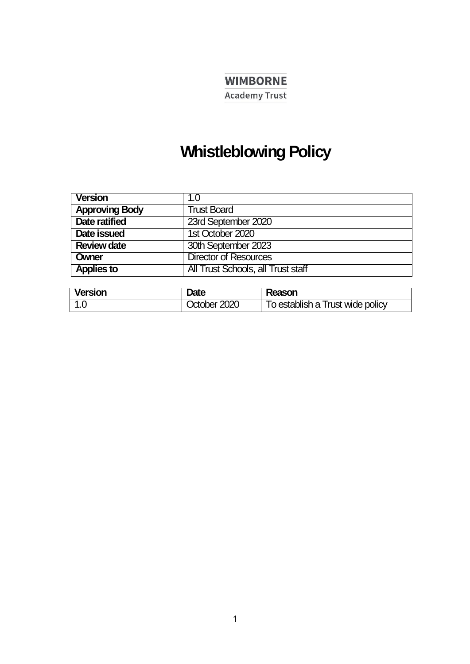# **WIMBORNE**

**Academy Trust** 

## **Whistleblowing Policy**

| <b>Version</b>        | 1.0                                |
|-----------------------|------------------------------------|
| <b>Approving Body</b> | <b>Trust Board</b>                 |
| <b>Date ratified</b>  | 23rd September 2020                |
| Date issued           | 1st October 2020                   |
| <b>Review date</b>    | 30th September 2023                |
| Owner                 | <b>Director of Resources</b>       |
| <b>Applies to</b>     | All Trust Schools, all Trust staff |

| <b>Version</b> | Date         | Reason                           |
|----------------|--------------|----------------------------------|
|                | October 2020 | To establish a Trust wide policy |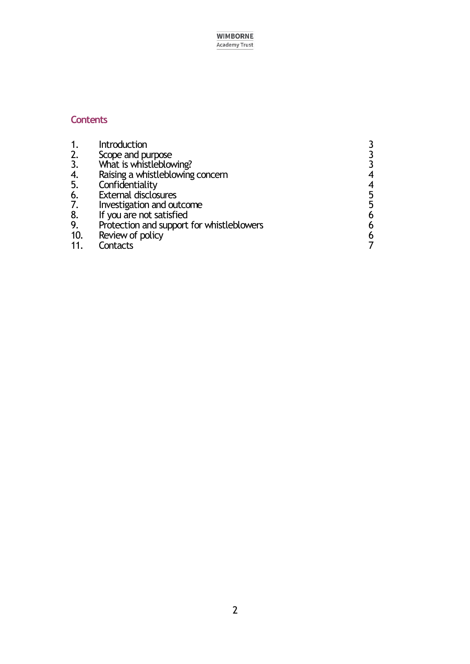**WIMBORNE Academy Trust** 

## **Contents**

| 1.       | Introduction                              |   |
|----------|-------------------------------------------|---|
| 2.       | Scope and purpose                         |   |
| 3.       | What is whistleblowing?                   |   |
|          | Raising a whistleblowing concern          | 4 |
| 4.<br>5. | Confidentiality                           | 4 |
| 6.       | <b>External disclosures</b>               | 5 |
| 7.       | Investigation and outcome                 | 5 |
|          | If you are not satisfied                  | 6 |
| 8.<br>9. | Protection and support for whistleblowers | 6 |
| 10.      | Review of policy                          | 6 |

11. [Contacts](#page-5-3) 7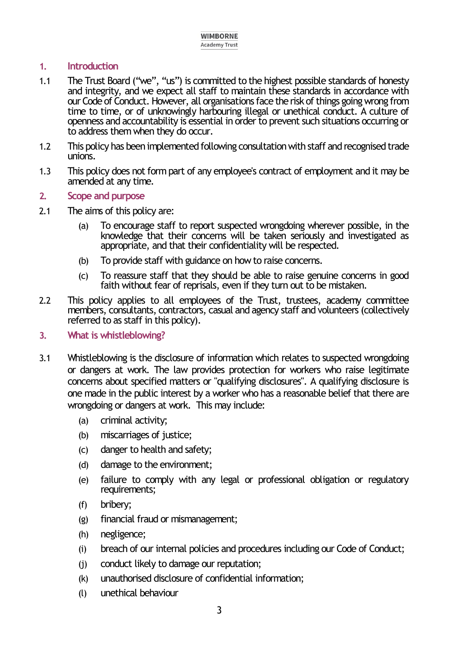## <span id="page-2-0"></span>**1. Introduction**

- 1.1 The Trust Board ("we", "us") is committed to the highest possible standards of honesty and integrity, and we expect all staff to maintain these standards in accordance with our Code of Conduct. However, all organisations face the risk of things going wrong from time to time, or of unknowingly harbouring illegal or unethical conduct. A culture of openness and accountability is essential in order to prevent such situations occurring or to address them when they do occur.
- 1.2 This policy has been implemented following consultation with staff and recognised trade unions.
- 1.3 This policy does not form part of any employee's contract of employment and it may be amended at any time.
- <span id="page-2-1"></span>**2. Scope and purpose**
- 2.1 The aims of this policy are:
	- (a) To encourage staff to report suspected wrongdoing wherever possible, in the knowledge that their concerns will be taken seriously and investigated as appropriate, and that their confidentiality will be respected.
	- (b) To provide staff with guidance on how to raise concerns.
	- (c) To reassure staff that they should be able to raise genuine concerns in good faith without fear of reprisals, even if they turn out to be mistaken.
- 2.2 This policy applies to all employees of the Trust, trustees, academy committee members, consultants, contractors, casual and agency staff and volunteers (collectively referred to as staff in this policy).

#### <span id="page-2-2"></span>**3. What is whistleblowing?**

- 3.1 Whistleblowing is the disclosure of information which relates to suspected wrongdoing or dangers at work. The law provides protection for workers who raise legitimate concerns about specified matters or "qualifying disclosures". A qualifying disclosure is one made in the public interest by a worker who has a reasonable belief that there are wrongdoing or dangers at work. This may include:
	- (a) criminal activity;
	- (b) miscarriages of justice;
	- (c) danger to health and safety;
	- (d) damage to the environment;
	- (e) failure to comply with any legal or professional obligation or regulatory requirements;
	- (f) bribery;
	- (g) financial fraud or mismanagement;
	- (h) negligence;
	- (i) breach of our internal policies and procedures including our Code of Conduct;
	- (j) conduct likely to damage our reputation;
	- (k) unauthorised disclosure of confidential information;
	- (l) unethical behaviour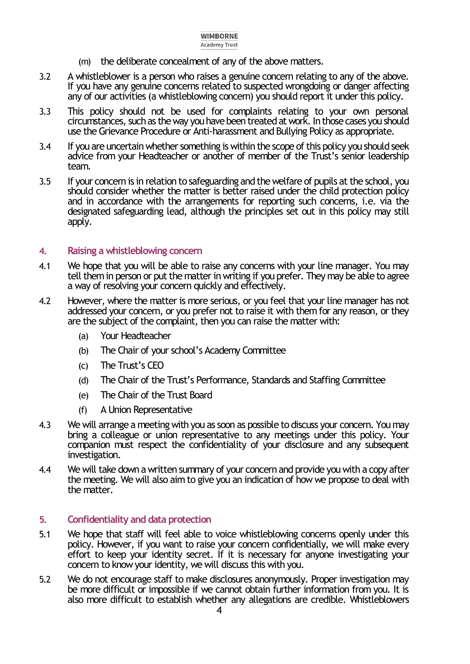- (m) the deliberate concealment of any of the above matters.
- 3.2 A whistleblower is a person who raises a genuine concern relating to any of the above. If you have any genuine concerns related to suspected wrongdoing or danger affecting any of our activities (a whistleblowing concern) you should report it under this policy.
- 3.3 This policy should not be used for complaints relating to your own personal circumstances, such as the way you have been treated at work. In those cases you should use the Grievance Procedure or Anti-harassment and Bullying Policy as appropriate.
- 3.4 If you are uncertain whether something is within the scope of this policy you should seek advice from your Headteacher or another of member of the Trust's senior leadership team.
- 3.5 If your concern is in relation to safeguarding and the welfare of pupils at the school, you should consider whether the matter is better raised under the child protection policy and in accordance with the arrangements for reporting such concerns, i.e. via the designated safeguarding lead, although the principles set out in this policy may still apply.

#### <span id="page-3-0"></span>**4. Raising a whistleblowing concern**

- 4.1 We hope that you will be able to raise any concerns with your line manager. You may tell them in person or put the matter in writing if you prefer. They may be able to agree a way of resolving your concern quickly and effectively.
- 4.2 However, where the matter is more serious, or you feel that your line manager has not addressed your concern, or you prefer not to raise it with them for any reason, or they are the subject of the complaint, then you can raise the matter with:
	- (a) Your Headteacher
	- (b) The Chair of your school's Academy Committee
	- (c) The Trust's CEO
	- (d) The Chair of the Trust's Performance, Standards and Staffing Committee
	- (e) The Chair of the Trust Board
	- (f) A Union Representative
- 4.3 We will arrange a meeting with you as soon as possible to discuss your concern. You may bring a colleague or union representative to any meetings under this policy. Your companion must respect the confidentiality of your disclosure and any subsequent investigation.
- 4.4 We will take down a written summary of your concern and provide you with a copy after the meeting. We will also aim to give you an indication of how we propose to deal with the matter.

#### <span id="page-3-1"></span>**5. Confidentiality and data protection**

- 5.1 We hope that staff will feel able to voice whistleblowing concerns openly under this policy. However, if you want to raise your concern confidentially, we will make every effort to keep your identity secret. If it is necessary for anyone investigating your concern to know your identity, we will discuss this with you.
- 5.2 We do not encourage staff to make disclosures anonymously. Proper investigation may be more difficult or impossible if we cannot obtain further information from you. It is also more difficult to establish whether any allegations are credible. Whistleblowers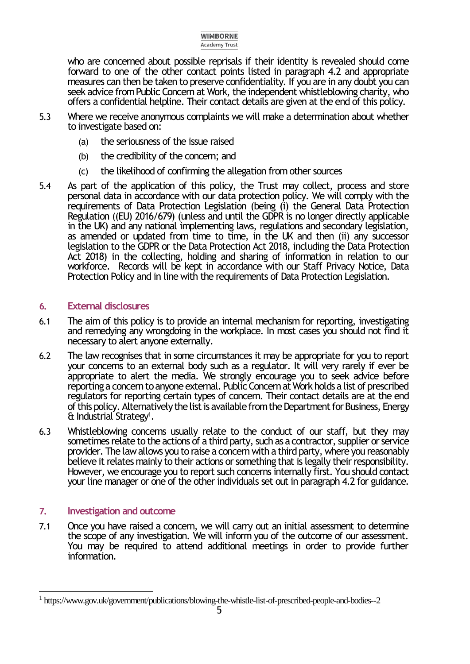who are concerned about possible reprisals if their identity is revealed should come forward to one of the other contact points listed in paragraph 4.2 and appropriate measures can then be taken to preserve confidentiality. If you are in any doubt you can seek advice from Public Concern at Work, the independent whistleblowing charity, who offers a confidential helpline. Their contact details are given at the end of this policy.

- 5.3 Where we receive anonymous complaints we will make a determination about whether to investigate based on:
	- (a) the seriousness of the issue raised
	- (b) the credibility of the concern; and
	- (c) the likelihood of confirming the allegation from other sources
- 5.4 As part of the application of this policy, the Trust may collect, process and store personal data in accordance with our data protection policy. We will comply with the requirements of Data Protection Legislation (being (i) the General Data Protection Regulation ((EU) 2016/679) (unless and until the GDPR is no longer directly applicable in the UK) and any national implementing laws, regulations and secondary legislation, as amended or updated from time to time, in the UK and then (ii) any successor legislation to the GDPR or the Data Protection Act 2018, including the Data Protection Act 2018) in the collecting, holding and sharing of information in relation to our workforce. Records will be kept in accordance with our Staff Privacy Notice, Data Protection Policy and in line with the requirements of Data Protection Legislation.

#### <span id="page-4-0"></span>**6. External disclosures**

- 6.1 The aim of this policy is to provide an internal mechanism for reporting, investigating and remedying any wrongdoing in the workplace. In most cases you should not find it necessary to alert anyone externally.
- 6.2 The law recognises that in some circumstances it may be appropriate for you to report your concerns to an external body such as a regulator. It will very rarely if ever be appropriate to alert the media. We strongly encourage you to seek advice before reporting a concern to anyone external. Public Concern at Work holds a list of prescribed regulators for reporting certain types of concern. Their contact details are at the end of this policy. Alternatively the list is available from the Department for Business, Energy & Industrial Strategy<sup>1</sup>.
- 6.3 Whistleblowing concerns usually relate to the conduct of our staff, but they may sometimes relate to the actions of a third party, such as a contractor, supplier or service provider. The law allows you to raise a concern with a third party, where you reasonably believe it relates mainly to their actions or something that is legally their responsibility. However, we encourage you to report such concerns internally first. You should contact your line manager or one of the other individuals set out in paragraph 4.2 for guidance.

## <span id="page-4-1"></span>**7. Investigation and outcome**

7.1 Once you have raised a concern, we will carry out an initial assessment to determine the scope of any investigation. We will inform you of the outcome of our assessment. You may be required to attend additional meetings in order to provide further information.

 $\overline{a}$ <sup>1</sup> https://www.gov.uk/government/publications/blowing-the-whistle-list-of-prescribed-people-and-bodies--2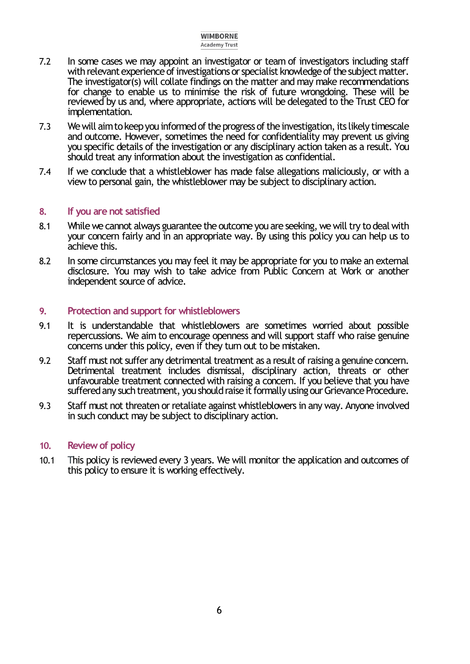- 7.2 In some cases we may appoint an investigator or team of investigators including staff with relevant experience of investigations or specialist knowledge of the subject matter. The investigator(s) will collate findings on the matter and may make recommendations for change to enable us to minimise the risk of future wrongdoing. These will be reviewed by us and, where appropriate, actions will be delegated to the Trust CEO for implementation.
- 7.3 We will aim to keep you informed of the progress of the investigation, its likely timescale and outcome. However, sometimes the need for confidentiality may prevent us giving you specific details of the investigation or any disciplinary action taken as a result. You should treat any information about the investigation as confidential.
- 7.4 If we conclude that a whistleblower has made false allegations maliciously, or with a view to personal gain, the whistleblower may be subject to disciplinary action.

#### <span id="page-5-0"></span>**8. If you are not satisfied**

- 8.1 While we cannot always guarantee the outcome you are seeking, we will try to deal with your concern fairly and in an appropriate way. By using this policy you can help us to achieve this.
- 8.2 In some circumstances you may feel it may be appropriate for you to make an external disclosure. You may wish to take advice from Public Concern at Work or another independent source of advice.

#### <span id="page-5-1"></span>**9. Protection and support for whistleblowers**

- 9.1 It is understandable that whistleblowers are sometimes worried about possible repercussions. We aim to encourage openness and will support staff who raise genuine concerns under this policy, even if they turn out to be mistaken.
- 9.2 Staff must not suffer any detrimental treatment as a result of raising a genuine concern. Detrimental treatment includes dismissal, disciplinary action, threats or other unfavourable treatment connected with raising a concern. If you believe that you have suffered any such treatment, you should raise it formally using our Grievance Procedure.
- 9.3 Staff must not threaten or retaliate against whistleblowers in any way. Anyone involved in such conduct may be subject to disciplinary action.

#### <span id="page-5-2"></span>**10. Review of policy**

<span id="page-5-3"></span>10.1 This policy is reviewed every 3 years. We will monitor the application and outcomes of this policy to ensure it is working effectively.